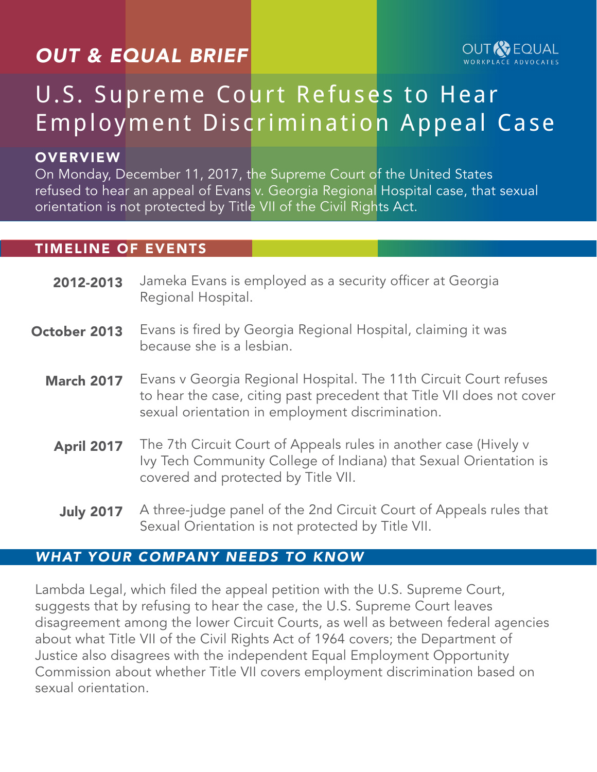## *OUT & EQUAL BRIEF*



# U.S. Supreme Court Refuses to Hear Employment Discrimination Appeal Case

#### **OVERVIEW**

On Monday, December 11, 2017, the Supreme Court of the United States refused to hear an appeal of Evans v. Georgia Regional Hospital case, that sexual orientation is not protected by Title VII of the Civil Rights Act.

#### TIMELINE OF EVENTS

- Jameka Evans is employed as a security officer at Georgia Regional Hospital. 2012-2013
- Evans is fired by Georgia Regional Hospital, claiming it was because she is a lesbian. October 2013
	- Evans v Georgia Regional Hospital. The 11th Circuit Court refuses to hear the case, citing past precedent that Title VII does not cover sexual orientation in employment discrimination. March 2017
		- The 7th Circuit Court of Appeals rules in another case (Hively v Ivy Tech Community College of Indiana) that Sexual Orientation is covered and protected by Title VII. April 2017
		- A three-judge panel of the 2nd Circuit Court of Appeals rules that Sexual Orientation is not protected by Title VII. July 2017

#### *WHAT YOUR COMPANY NEEDS TO KNOW*

Lambda Legal, which filed the appeal petition with the U.S. Supreme Court, suggests that by refusing to hear the case, the U.S. Supreme Court leaves disagreement among the lower Circuit Courts, as well as between federal agencies about what Title VII of the Civil Rights Act of 1964 covers; the Department of Justice also disagrees with the independent Equal Employment Opportunity Commission about whether Title VII covers employment discrimination based on sexual orientation.